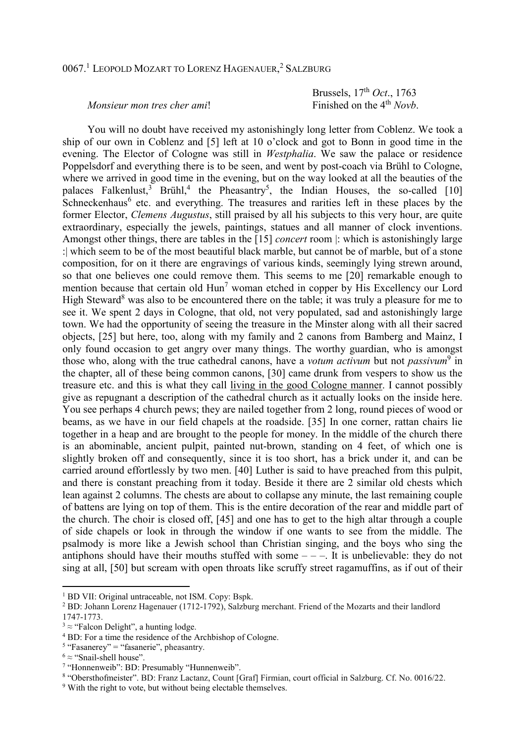## 0067.<sup>1</sup> LEOPOLD MOZART TO LORENZ HAGENAUER, <sup>2</sup> SALZBURG

Brussels, 17<sup>th</sup> *Oct.*, 1763<br>Finished on the 4<sup>th</sup> Novb.

## *Monsieur mon tres cher ami!*

 You will no doubt have received my astonishingly long letter from Coblenz. We took a ship of our own in Coblenz and [5] left at 10 o'clock and got to Bonn in good time in the evening. The Elector of Cologne was still in *Westphalia*. We saw the palace or residence Poppelsdorf and everything there is to be seen, and went by post-coach via Brühl to Cologne, where we arrived in good time in the evening, but on the way looked at all the beauties of the palaces Falkenlust,<sup>3</sup> Brühl,<sup>4</sup> the Pheasantry<sup>5</sup>, the Indian Houses, the so-called [10] Schneckenhaus<sup>6</sup> etc. and everything. The treasures and rarities left in these places by the former Elector, *Clemens Augustus*, still praised by all his subjects to this very hour, are quite extraordinary, especially the jewels, paintings, statues and all manner of clock inventions. Amongst other things, there are tables in the [15] *concert* room |: which is astonishingly large :| which seem to be of the most beautiful black marble, but cannot be of marble, but of a stone composition, for on it there are engravings of various kinds, seemingly lying strewn around, so that one believes one could remove them. This seems to me [20] remarkable enough to mention because that certain old  $\text{Hun}^7$  woman etched in copper by His Excellency our Lord High Steward<sup>8</sup> was also to be encountered there on the table; it was truly a pleasure for me to see it. We spent 2 days in Cologne, that old, not very populated, sad and astonishingly large town. We had the opportunity of seeing the treasure in the Minster along with all their sacred objects, [25] but here, too, along with my family and 2 canons from Bamberg and Mainz, I only found occasion to get angry over many things. The worthy guardian, who is amongst those who, along with the true cathedral canons, have a *votum activum* but not *passivum*<sup>9</sup> in the chapter, all of these being common canons, [30] came drunk from vespers to show us the treasure etc. and this is what they call living in the good Cologne manner. I cannot possibly give as repugnant a description of the cathedral church as it actually looks on the inside here. You see perhaps 4 church pews; they are nailed together from 2 long, round pieces of wood or beams, as we have in our field chapels at the roadside. [35] In one corner, rattan chairs lie together in a heap and are brought to the people for money. In the middle of the church there is an abominable, ancient pulpit, painted nut-brown, standing on 4 feet, of which one is slightly broken off and consequently, since it is too short, has a brick under it, and can be carried around effortlessly by two men. [40] Luther is said to have preached from this pulpit, and there is constant preaching from it today. Beside it there are 2 similar old chests which lean against 2 columns. The chests are about to collapse any minute, the last remaining couple of battens are lying on top of them. This is the entire decoration of the rear and middle part of the church. The choir is closed off, [45] and one has to get to the high altar through a couple of side chapels or look in through the window if one wants to see from the middle. The psalmody is more like a Jewish school than Christian singing, and the boys who sing the antiphons should have their mouths stuffed with some  $---$ . It is unbelievable: they do not sing at all, [50] but scream with open throats like scruffy street ragamuffins, as if out of their

<sup>&</sup>lt;sup>1</sup> BD VII: Original untraceable, not ISM. Copy: Bspk.

<sup>&</sup>lt;sup>2</sup> BD: Johann Lorenz Hagenauer (1712-1792), Salzburg merchant. Friend of the Mozarts and their landlord 1747-1773.

 $3 \approx$  "Falcon Delight", a hunting lodge.

<sup>&</sup>lt;sup>4</sup> BD: For a time the residence of the Archbishop of Cologne.

 $<sup>5</sup>$  "Fasanerey" = "fasanerie", pheasantry.</sup>

 $6 \approx$  "Snail-shell house".

<sup>7</sup> "Honnenweib": BD: Presumably "Hunnenweib".

<sup>8</sup> "Obersthofmeister". BD: Franz Lactanz, Count [Graf] Firmian, court official in Salzburg. Cf. No. 0016/22.

<sup>&</sup>lt;sup>9</sup> With the right to vote, but without being electable themselves.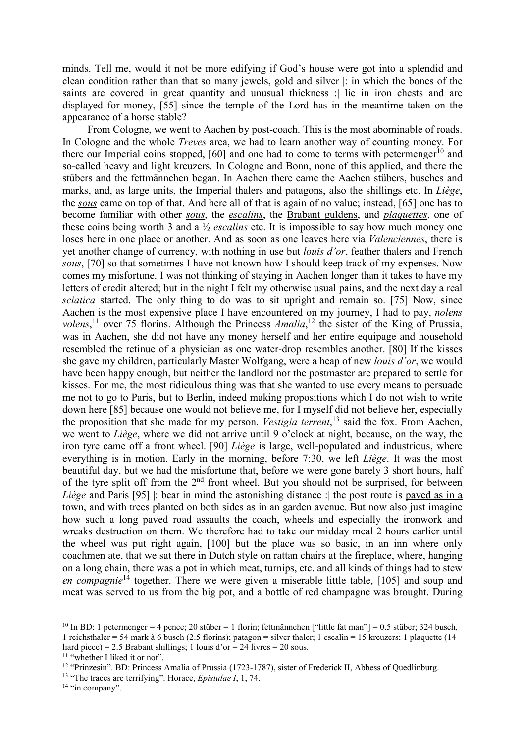minds. Tell me, would it not be more edifying if God's house were got into a splendid and clean condition rather than that so many jewels, gold and silver |: in which the bones of the saints are covered in great quantity and unusual thickness : lie in iron chests and are displayed for money, [55] since the temple of the Lord has in the meantime taken on the appearance of a horse stable?

 From Cologne, we went to Aachen by post-coach. This is the most abominable of roads. In Cologne and the whole *Treves* area, we had to learn another way of counting money. For there our Imperial coins stopped,  $[60]$  and one had to come to terms with petermenger<sup>10</sup> and so-called heavy and light kreuzers. In Cologne and Bonn, none of this applied, and there the stübers and the fettmännchen began. In Aachen there came the Aachen stübers, busches and marks, and, as large units, the Imperial thalers and patagons, also the shillings etc. In *Liège*, the *sous* came on top of that. And here all of that is again of no value; instead, [65] one has to become familiar with other *sous*, the *escalins*, the Brabant guldens, and *plaquettes*, one of these coins being worth 3 and a ½ *escalins* etc. It is impossible to say how much money one loses here in one place or another. And as soon as one leaves here via *Valenciennes*, there is yet another change of currency, with nothing in use but *louis d'or*, feather thalers and French *sous*, [70] so that sometimes I have not known how I should keep track of my expenses. Now comes my misfortune. I was not thinking of staying in Aachen longer than it takes to have my letters of credit altered; but in the night I felt my otherwise usual pains, and the next day a real *sciatica* started. The only thing to do was to sit upright and remain so. [75] Now, since Aachen is the most expensive place I have encountered on my journey, I had to pay, *nolens*  volens,<sup>11</sup> over 75 florins. Although the Princess *Amalia*,<sup>12</sup> the sister of the King of Prussia, was in Aachen, she did not have any money herself and her entire equipage and household resembled the retinue of a physician as one water-drop resembles another. [80] If the kisses she gave my children, particularly Master Wolfgang, were a heap of new *louis d'or*, we would have been happy enough, but neither the landlord nor the postmaster are prepared to settle for kisses. For me, the most ridiculous thing was that she wanted to use every means to persuade me not to go to Paris, but to Berlin, indeed making propositions which I do not wish to write down here [85] because one would not believe me, for I myself did not believe her, especially the proposition that she made for my person. *Vestigia terrent*, <sup>13</sup> said the fox. From Aachen, we went to *Liège*, where we did not arrive until 9 o'clock at night, because, on the way, the iron tyre came off a front wheel. [90] *Liège* is large, well-populated and industrious, where everything is in motion. Early in the morning, before 7:30, we left *Liège*. It was the most beautiful day, but we had the misfortune that, before we were gone barely 3 short hours, half of the tyre split off from the  $2<sup>nd</sup>$  front wheel. But you should not be surprised, for between *Liège* and Paris [95] : bear in mind the astonishing distance : the post route is paved as in a town, and with trees planted on both sides as in an garden avenue. But now also just imagine how such a long paved road assaults the coach, wheels and especially the ironwork and wreaks destruction on them. We therefore had to take our midday meal 2 hours earlier until the wheel was put right again, [100] but the place was so basic, in an inn where only coachmen ate, that we sat there in Dutch style on rattan chairs at the fireplace, where, hanging on a long chain, there was a pot in which meat, turnips, etc. and all kinds of things had to stew *en compagnie*<sup>14</sup> together. There we were given a miserable little table, [105] and soup and meat was served to us from the big pot, and a bottle of red champagne was brought. During

<sup>&</sup>lt;sup>10</sup> In BD: 1 petermenger = 4 pence; 20 stüber = 1 florin; fettmännchen ["little fat man"] = 0.5 stüber; 324 busch, 1 reichsthaler = 54 mark à 6 busch (2.5 florins); patagon = silver thaler; 1 escalin = 15 kreuzers; 1 plaquette (14 liard piece) = 2.5 Brabant shillings; 1 louis d'or = 24 livres = 20 sous.

<sup>&</sup>lt;sup>11</sup> "whether I liked it or not".

<sup>&</sup>lt;sup>12</sup> "Prinzesin". BD: Princess Amalia of Prussia (1723-1787), sister of Frederick II, Abbess of Quedlinburg.

<sup>13</sup> "The traces are terrifying". Horace, *Epistulae I*, 1, 74.

<sup>&</sup>lt;sup>14</sup> "in company".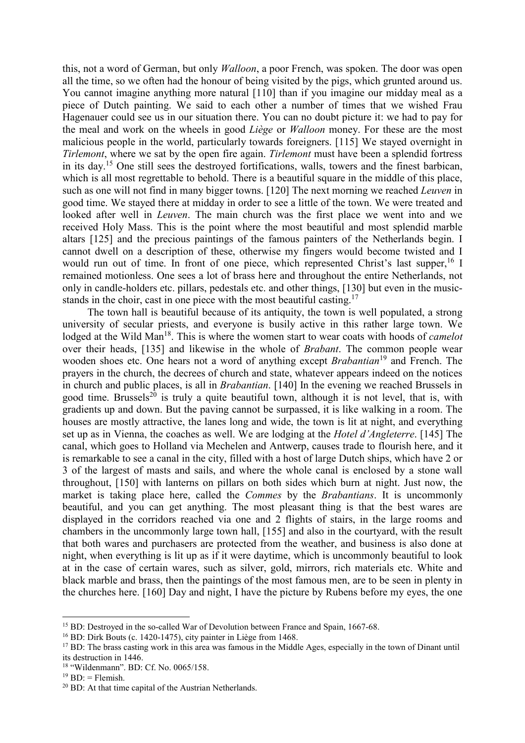this, not a word of German, but only *Walloon*, a poor French, was spoken. The door was open all the time, so we often had the honour of being visited by the pigs, which grunted around us. You cannot imagine anything more natural [110] than if you imagine our midday meal as a piece of Dutch painting. We said to each other a number of times that we wished Frau Hagenauer could see us in our situation there. You can no doubt picture it: we had to pay for the meal and work on the wheels in good *Liège* or *Walloon* money. For these are the most malicious people in the world, particularly towards foreigners. [115] We stayed overnight in *Tirlemont*, where we sat by the open fire again. *Tirlemont* must have been a splendid fortress in its day.<sup>15</sup> One still sees the destroyed fortifications, walls, towers and the finest barbican, which is all most regrettable to behold. There is a beautiful square in the middle of this place, such as one will not find in many bigger towns. [120] The next morning we reached *Leuven* in good time. We stayed there at midday in order to see a little of the town. We were treated and looked after well in *Leuven*. The main church was the first place we went into and we received Holy Mass. This is the point where the most beautiful and most splendid marble altars [125] and the precious paintings of the famous painters of the Netherlands begin. I cannot dwell on a description of these, otherwise my fingers would become twisted and I would run out of time. In front of one piece, which represented Christ's last supper,  $^{16}$  I remained motionless. One sees a lot of brass here and throughout the entire Netherlands, not only in candle-holders etc. pillars, pedestals etc. and other things, [130] but even in the musicstands in the choir, cast in one piece with the most beautiful casting.<sup>17</sup>

 The town hall is beautiful because of its antiquity, the town is well populated, a strong university of secular priests, and everyone is busily active in this rather large town. We lodged at the Wild Man<sup>18</sup>. This is where the women start to wear coats with hoods of *camelot* over their heads, [135] and likewise in the whole of *Brabant*. The common people wear wooden shoes etc. One hears not a word of anything except *Brabantian*<sup>19</sup> and French. The prayers in the church, the decrees of church and state, whatever appears indeed on the notices in church and public places, is all in *Brabantian*. [140] In the evening we reached Brussels in good time. Brussels<sup>20</sup> is truly a quite beautiful town, although it is not level, that is, with gradients up and down. But the paving cannot be surpassed, it is like walking in a room. The houses are mostly attractive, the lanes long and wide, the town is lit at night, and everything set up as in Vienna, the coaches as well. We are lodging at the *Hotel d'Angleterre*. [145] The canal, which goes to Holland via Mechelen and Antwerp, causes trade to flourish here, and it is remarkable to see a canal in the city, filled with a host of large Dutch ships, which have 2 or 3 of the largest of masts and sails, and where the whole canal is enclosed by a stone wall throughout, [150] with lanterns on pillars on both sides which burn at night. Just now, the market is taking place here, called the *Commes* by the *Brabantians*. It is uncommonly beautiful, and you can get anything. The most pleasant thing is that the best wares are displayed in the corridors reached via one and 2 flights of stairs, in the large rooms and chambers in the uncommonly large town hall, [155] and also in the courtyard, with the result that both wares and purchasers are protected from the weather, and business is also done at night, when everything is lit up as if it were daytime, which is uncommonly beautiful to look at in the case of certain wares, such as silver, gold, mirrors, rich materials etc. White and black marble and brass, then the paintings of the most famous men, are to be seen in plenty in the churches here. [160] Day and night, I have the picture by Rubens before my eyes, the one

<sup>&</sup>lt;sup>15</sup> BD: Destroyed in the so-called War of Devolution between France and Spain, 1667-68.

<sup>16</sup> BD: Dirk Bouts (c. 1420-1475), city painter in Liège from 1468.

 $17$  BD: The brass casting work in this area was famous in the Middle Ages, especially in the town of Dinant until its destruction in 1446.

<sup>18</sup> "Wildenmann". BD: Cf. No. 0065/158.

 $19$  BD: = Flemish.

<sup>20</sup> BD: At that time capital of the Austrian Netherlands.